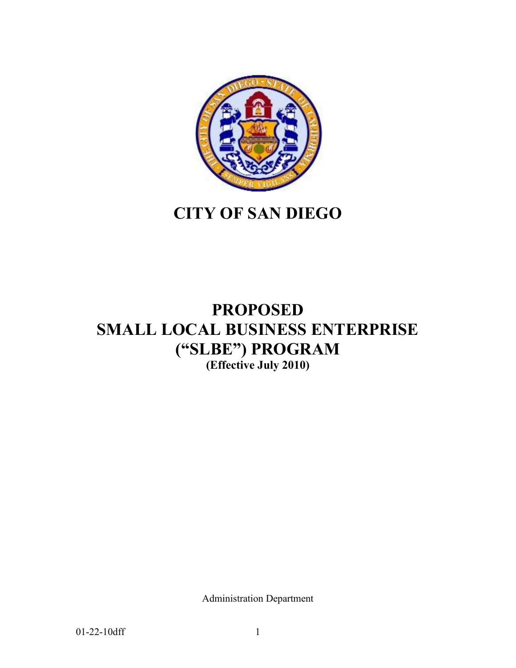

# **CITY OF SAN DIEGO**

## **PROPOSED SMALL LOCAL BUSINESS ENTERPRISE ("SLBE") PROGRAM (Effective July 2010)**

Administration Department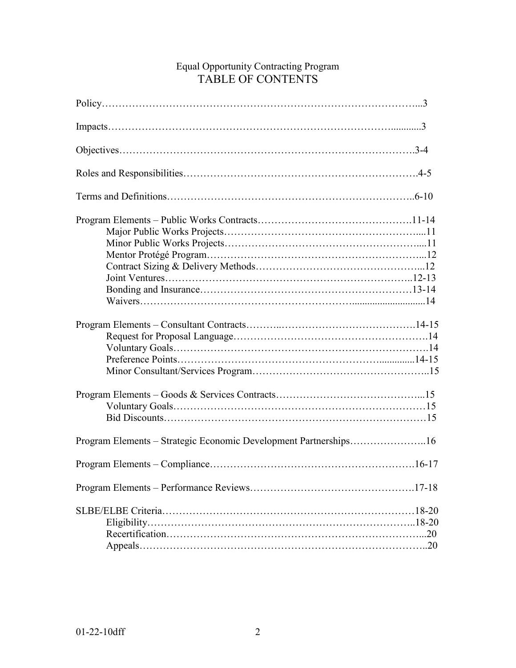## Equal Opportunity Contracting Program TABLE OF CONTENTS

| Program Elements – Strategic Economic Development Partnerships16 |
|------------------------------------------------------------------|
|                                                                  |
|                                                                  |
|                                                                  |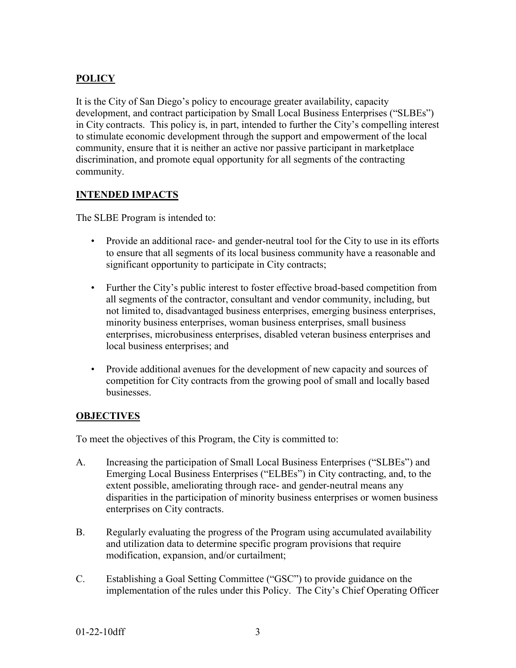## **POLICY**

It is the City of San Diego's policy to encourage greater availability, capacity development, and contract participation by Small Local Business Enterprises ("SLBEs") in City contracts. This policy is, in part, intended to further the City's compelling interest to stimulate economic development through the support and empowerment of the local community, ensure that it is neither an active nor passive participant in marketplace discrimination, and promote equal opportunity for all segments of the contracting community.

#### **INTENDED IMPACTS**

The SLBE Program is intended to:

- Provide an additional race- and gender-neutral tool for the City to use in its efforts to ensure that all segments of its local business community have a reasonable and significant opportunity to participate in City contracts;
- Further the City's public interest to foster effective broad-based competition from all segments of the contractor, consultant and vendor community, including, but not limited to, disadvantaged business enterprises, emerging business enterprises, minority business enterprises, woman business enterprises, small business enterprises, microbusiness enterprises, disabled veteran business enterprises and local business enterprises; and
- Provide additional avenues for the development of new capacity and sources of competition for City contracts from the growing pool of small and locally based businesses.

#### **OBJECTIVES**

To meet the objectives of this Program, the City is committed to:

- A. Increasing the participation of Small Local Business Enterprises ("SLBEs") and Emerging Local Business Enterprises ("ELBEs") in City contracting, and, to the extent possible, ameliorating through race- and gender-neutral means any disparities in the participation of minority business enterprises or women business enterprises on City contracts.
- B. Regularly evaluating the progress of the Program using accumulated availability and utilization data to determine specific program provisions that require modification, expansion, and/or curtailment;
- C. Establishing a Goal Setting Committee ("GSC") to provide guidance on the implementation of the rules under this Policy. The City's Chief Operating Officer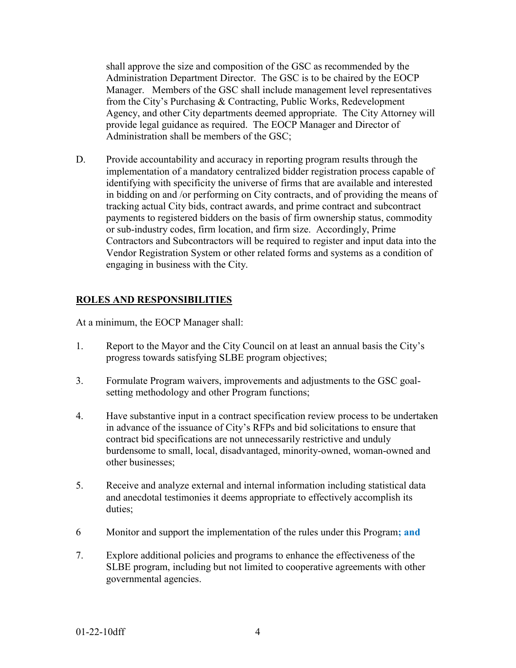shall approve the size and composition of the GSC as recommended by the Administration Department Director. The GSC is to be chaired by the EOCP Manager. Members of the GSC shall include management level representatives from the City's Purchasing & Contracting, Public Works, Redevelopment Agency, and other City departments deemed appropriate. The City Attorney will provide legal guidance as required. The EOCP Manager and Director of Administration shall be members of the GSC;

D. Provide accountability and accuracy in reporting program results through the implementation of a mandatory centralized bidder registration process capable of identifying with specificity the universe of firms that are available and interested in bidding on and /or performing on City contracts, and of providing the means of tracking actual City bids, contract awards, and prime contract and subcontract payments to registered bidders on the basis of firm ownership status, commodity or sub-industry codes, firm location, and firm size. Accordingly, Prime Contractors and Subcontractors will be required to register and input data into the Vendor Registration System or other related forms and systems as a condition of engaging in business with the City.

#### **ROLES AND RESPONSIBILITIES**

At a minimum, the EOCP Manager shall:

- 1. Report to the Mayor and the City Council on at least an annual basis the City's progress towards satisfying SLBE program objectives;
- 3. Formulate Program waivers, improvements and adjustments to the GSC goalsetting methodology and other Program functions;
- 4. Have substantive input in a contract specification review process to be undertaken in advance of the issuance of City's RFPs and bid solicitations to ensure that contract bid specifications are not unnecessarily restrictive and unduly burdensome to small, local, disadvantaged, minority-owned, woman-owned and other businesses;
- 5. Receive and analyze external and internal information including statistical data and anecdotal testimonies it deems appropriate to effectively accomplish its duties;
- 6 Monitor and support the implementation of the rules under this Program**; and**
- 7. Explore additional policies and programs to enhance the effectiveness of the SLBE program, including but not limited to cooperative agreements with other governmental agencies.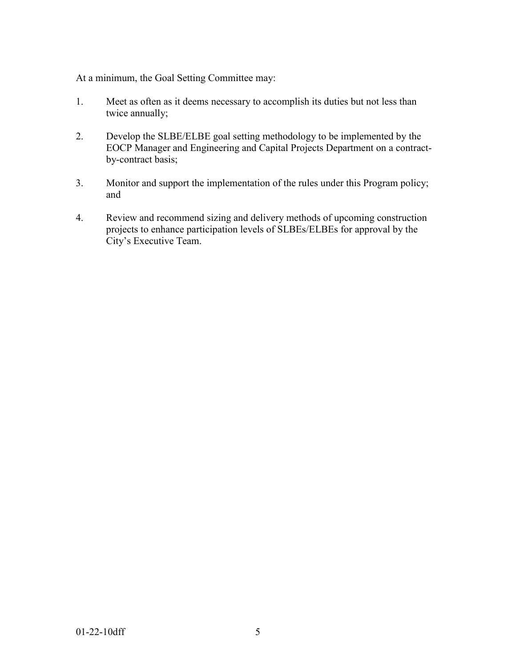At a minimum, the Goal Setting Committee may:

- 1. Meet as often as it deems necessary to accomplish its duties but not less than twice annually;
- 2. Develop the SLBE/ELBE goal setting methodology to be implemented by the EOCP Manager and Engineering and Capital Projects Department on a contractby-contract basis;
- 3. Monitor and support the implementation of the rules under this Program policy; and
- 4. Review and recommend sizing and delivery methods of upcoming construction projects to enhance participation levels of SLBEs/ELBEs for approval by the City's Executive Team.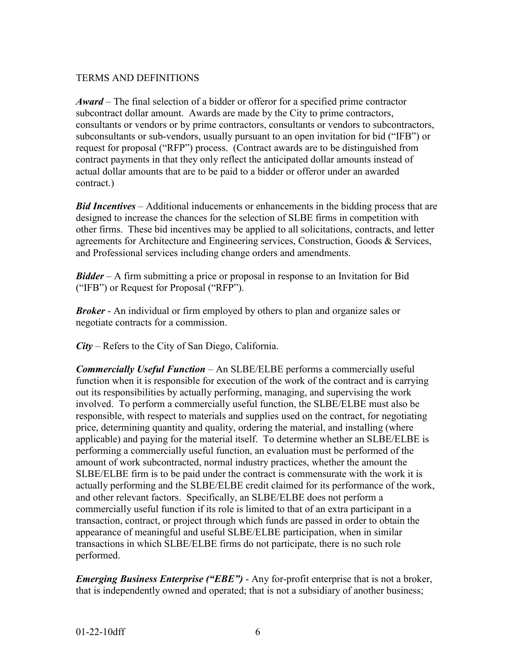#### TERMS AND DEFINITIONS

*Award* – The final selection of a bidder or offeror for a specified prime contractor subcontract dollar amount. Awards are made by the City to prime contractors, consultants or vendors or by prime contractors, consultants or vendors to subcontractors, subconsultants or sub-vendors, usually pursuant to an open invitation for bid ("IFB") or request for proposal ("RFP") process. (Contract awards are to be distinguished from contract payments in that they only reflect the anticipated dollar amounts instead of actual dollar amounts that are to be paid to a bidder or offeror under an awarded contract.)

*Bid Incentives* – Additional inducements or enhancements in the bidding process that are designed to increase the chances for the selection of SLBE firms in competition with other firms. These bid incentives may be applied to all solicitations, contracts, and letter agreements for Architecture and Engineering services, Construction, Goods & Services, and Professional services including change orders and amendments.

*Bidder* – A firm submitting a price or proposal in response to an Invitation for Bid ("IFB") or Request for Proposal ("RFP").

*Broker* - An individual or firm employed by others to plan and organize sales or negotiate contracts for a commission.

*City* – Refers to the City of San Diego, California.

*Commercially Useful Function* – An SLBE/ELBE performs a commercially useful function when it is responsible for execution of the work of the contract and is carrying out its responsibilities by actually performing, managing, and supervising the work involved. To perform a commercially useful function, the SLBE/ELBE must also be responsible, with respect to materials and supplies used on the contract, for negotiating price, determining quantity and quality, ordering the material, and installing (where applicable) and paying for the material itself. To determine whether an SLBE/ELBE is performing a commercially useful function, an evaluation must be performed of the amount of work subcontracted, normal industry practices, whether the amount the SLBE/ELBE firm is to be paid under the contract is commensurate with the work it is actually performing and the SLBE/ELBE credit claimed for its performance of the work, and other relevant factors. Specifically, an SLBE/ELBE does not perform a commercially useful function if its role is limited to that of an extra participant in a transaction, contract, or project through which funds are passed in order to obtain the appearance of meaningful and useful SLBE/ELBE participation, when in similar transactions in which SLBE/ELBE firms do not participate, there is no such role performed.

*Emerging Business Enterprise ("EBE")* - Any for-profit enterprise that is not a broker, that is independently owned and operated; that is not a subsidiary of another business;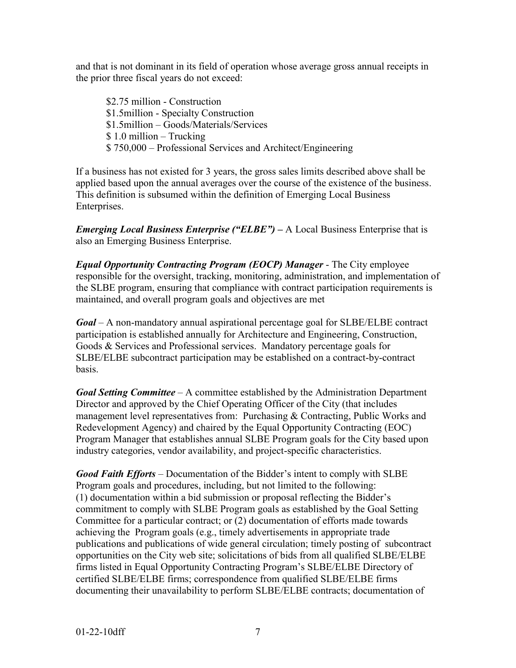and that is not dominant in its field of operation whose average gross annual receipts in the prior three fiscal years do not exceed:

\$2.75 million - Construction \$1.5million - Specialty Construction \$1.5million – Goods/Materials/Services \$ 1.0 million – Trucking \$ 750,000 – Professional Services and Architect/Engineering

If a business has not existed for 3 years, the gross sales limits described above shall be applied based upon the annual averages over the course of the existence of the business. This definition is subsumed within the definition of Emerging Local Business Enterprises.

*Emerging Local Business Enterprise ("ELBE") –* A Local Business Enterprise that is also an Emerging Business Enterprise.

*Equal Opportunity Contracting Program (EOCP) Manager* - The City employee responsible for the oversight, tracking, monitoring, administration, and implementation of the SLBE program, ensuring that compliance with contract participation requirements is maintained, and overall program goals and objectives are met

*Goal* – A non-mandatory annual aspirational percentage goal for SLBE/ELBE contract participation is established annually for Architecture and Engineering, Construction, Goods & Services and Professional services. Mandatory percentage goals for SLBE/ELBE subcontract participation may be established on a contract-by-contract basis.

*Goal Setting Committee* – A committee established by the Administration Department Director and approved by the Chief Operating Officer of the City (that includes management level representatives from: Purchasing & Contracting, Public Works and Redevelopment Agency) and chaired by the Equal Opportunity Contracting (EOC) Program Manager that establishes annual SLBE Program goals for the City based upon industry categories, vendor availability, and project-specific characteristics.

*Good Faith Efforts* – Documentation of the Bidder's intent to comply with SLBE Program goals and procedures, including, but not limited to the following: (1) documentation within a bid submission or proposal reflecting the Bidder's commitment to comply with SLBE Program goals as established by the Goal Setting Committee for a particular contract; or (2) documentation of efforts made towards achieving the Program goals (e.g., timely advertisements in appropriate trade publications and publications of wide general circulation; timely posting of subcontract opportunities on the City web site; solicitations of bids from all qualified SLBE/ELBE firms listed in Equal Opportunity Contracting Program's SLBE/ELBE Directory of certified SLBE/ELBE firms; correspondence from qualified SLBE/ELBE firms documenting their unavailability to perform SLBE/ELBE contracts; documentation of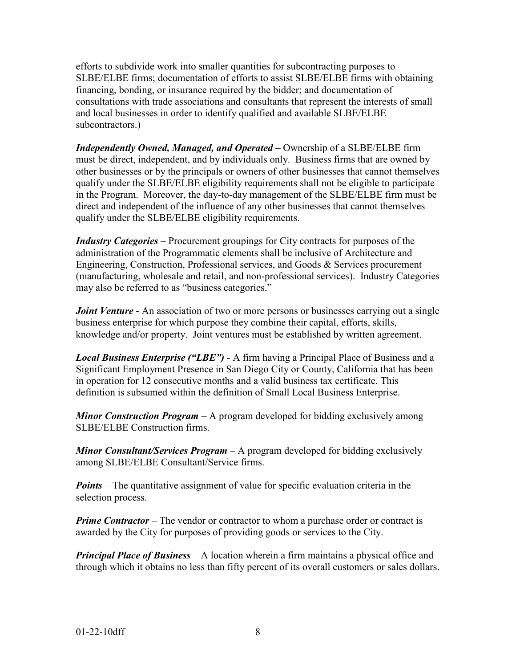efforts to subdivide work into smaller quantities for subcontracting purposes to SLBE/ELBE firms; documentation of efforts to assist SLBE/ELBE firms with obtaining financing, bonding, or insurance required by the bidder; and documentation of consultations with trade associations and consultants that represent the interests of small and local businesses in order to identify qualified and available SLBE/ELBE subcontractors.)

*Independently Owned, Managed, and Operated* – Ownership of a SLBE/ELBE firm must be direct, independent, and by individuals only. Business firms that are owned by other businesses or by the principals or owners of other businesses that cannot themselves qualify under the SLBE/ELBE eligibility requirements shall not be eligible to participate in the Program. Moreover, the day-to-day management of the SLBE/ELBE firm must be direct and independent of the influence of any other businesses that cannot themselves qualify under the SLBE/ELBE eligibility requirements.

*Industry Categories* – Procurement groupings for City contracts for purposes of the administration of the Programmatic elements shall be inclusive of Architecture and Engineering, Construction, Professional services, and Goods & Services procurement (manufacturing, wholesale and retail, and non-professional services). Industry Categories may also be referred to as "business categories."

*Joint Venture* - An association of two or more persons or businesses carrying out a single business enterprise for which purpose they combine their capital, efforts, skills, knowledge and/or property. Joint ventures must be established by written agreement.

*Local Business Enterprise ("LBE")* - A firm having a Principal Place of Business and a Significant Employment Presence in San Diego City or County, California that has been in operation for 12 consecutive months and a valid business tax certificate. This definition is subsumed within the definition of Small Local Business Enterprise.

*Minor Construction Program* – A program developed for bidding exclusively among SLBE/ELBE Construction firms.

*Minor Consultant/Services Program* – A program developed for bidding exclusively among SLBE/ELBE Consultant/Service firms.

*Points* – The quantitative assignment of value for specific evaluation criteria in the selection process.

*Prime Contractor* – The vendor or contractor to whom a purchase order or contract is awarded by the City for purposes of providing goods or services to the City.

*Principal Place of Business* – A location wherein a firm maintains a physical office and through which it obtains no less than fifty percent of its overall customers or sales dollars.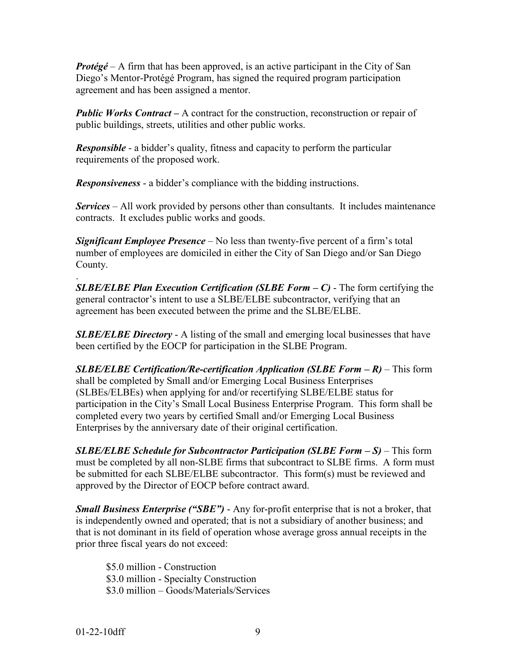*Protégé* – A firm that has been approved, is an active participant in the City of San Diego's Mentor-Protégé Program, has signed the required program participation agreement and has been assigned a mentor.

*Public Works Contract – A contract for the construction, reconstruction or repair of* public buildings, streets, utilities and other public works.

*Responsible* - a bidder's quality, fitness and capacity to perform the particular requirements of the proposed work.

*Responsiveness* - a bidder's compliance with the bidding instructions.

*Services* – All work provided by persons other than consultants. It includes maintenance contracts. It excludes public works and goods.

*Significant Employee Presence* – No less than twenty-five percent of a firm's total number of employees are domiciled in either the City of San Diego and/or San Diego County.

. *SLBE/ELBE Plan Execution Certification (SLBE Form – C)* - The form certifying the general contractor's intent to use a SLBE/ELBE subcontractor, verifying that an agreement has been executed between the prime and the SLBE/ELBE.

**SLBE/ELBE Directory** - A listing of the small and emerging local businesses that have been certified by the EOCP for participation in the SLBE Program.

*SLBE/ELBE Certification/Re-certification Application (SLBE Form – R)* – This form shall be completed by Small and/or Emerging Local Business Enterprises (SLBEs/ELBEs) when applying for and/or recertifying SLBE/ELBE status for participation in the City's Small Local Business Enterprise Program. This form shall be completed every two years by certified Small and/or Emerging Local Business Enterprises by the anniversary date of their original certification.

*SLBE/ELBE Schedule for Subcontractor Participation (SLBE Form – S)* – This form must be completed by all non-SLBE firms that subcontract to SLBE firms. A form must be submitted for each SLBE/ELBE subcontractor. This form(s) must be reviewed and approved by the Director of EOCP before contract award.

*Small Business Enterprise ("SBE")* - Any for-profit enterprise that is not a broker, that is independently owned and operated; that is not a subsidiary of another business; and that is not dominant in its field of operation whose average gross annual receipts in the prior three fiscal years do not exceed:

\$5.0 million - Construction \$3.0 million - Specialty Construction \$3.0 million – Goods/Materials/Services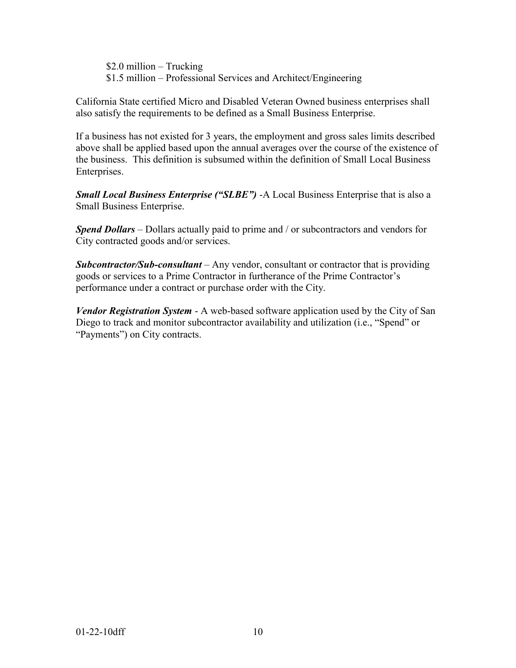\$2.0 million – Trucking \$1.5 million – Professional Services and Architect/Engineering

California State certified Micro and Disabled Veteran Owned business enterprises shall also satisfy the requirements to be defined as a Small Business Enterprise.

If a business has not existed for 3 years, the employment and gross sales limits described above shall be applied based upon the annual averages over the course of the existence of the business. This definition is subsumed within the definition of Small Local Business Enterprises.

*Small Local Business Enterprise ("SLBE")* -A Local Business Enterprise that is also a Small Business Enterprise.

*Spend Dollars* – Dollars actually paid to prime and / or subcontractors and vendors for City contracted goods and/or services.

*Subcontractor/Sub-consultant* – Any vendor, consultant or contractor that is providing goods or services to a Prime Contractor in furtherance of the Prime Contractor's performance under a contract or purchase order with the City.

*Vendor Registration System* - A web-based software application used by the City of San Diego to track and monitor subcontractor availability and utilization (i.e., "Spend" or "Payments") on City contracts.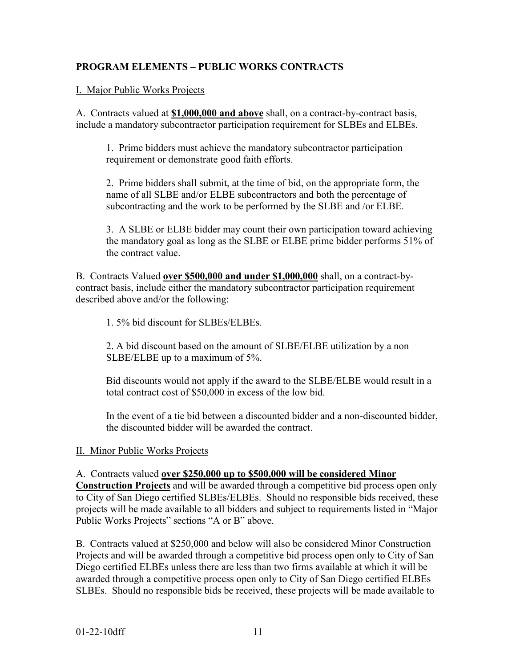## **PROGRAM ELEMENTS – PUBLIC WORKS CONTRACTS**

#### I. Major Public Works Projects

A. Contracts valued at **\$1,000,000 and above** shall, on a contract-by-contract basis, include a mandatory subcontractor participation requirement for SLBEs and ELBEs.

1. Prime bidders must achieve the mandatory subcontractor participation requirement or demonstrate good faith efforts.

2. Prime bidders shall submit, at the time of bid, on the appropriate form, the name of all SLBE and/or ELBE subcontractors and both the percentage of subcontracting and the work to be performed by the SLBE and /or ELBE.

3. A SLBE or ELBE bidder may count their own participation toward achieving the mandatory goal as long as the SLBE or ELBE prime bidder performs 51% of the contract value.

B. Contracts Valued **over \$500,000 and under \$1,000,000** shall, on a contract-bycontract basis, include either the mandatory subcontractor participation requirement described above and/or the following:

1. 5% bid discount for SLBEs/ELBEs.

2. A bid discount based on the amount of SLBE/ELBE utilization by a non SLBE/ELBE up to a maximum of 5%.

Bid discounts would not apply if the award to the SLBE/ELBE would result in a total contract cost of \$50,000 in excess of the low bid.

In the event of a tie bid between a discounted bidder and a non-discounted bidder, the discounted bidder will be awarded the contract.

#### II. Minor Public Works Projects

A. Contracts valued **over \$250,000 up to \$500,000 will be considered Minor** 

**Construction Projects** and will be awarded through a competitive bid process open only to City of San Diego certified SLBEs/ELBEs. Should no responsible bids received, these projects will be made available to all bidders and subject to requirements listed in "Major Public Works Projects" sections "A or B" above.

B. Contracts valued at \$250,000 and below will also be considered Minor Construction Projects and will be awarded through a competitive bid process open only to City of San Diego certified ELBEs unless there are less than two firms available at which it will be awarded through a competitive process open only to City of San Diego certified ELBEs SLBEs. Should no responsible bids be received, these projects will be made available to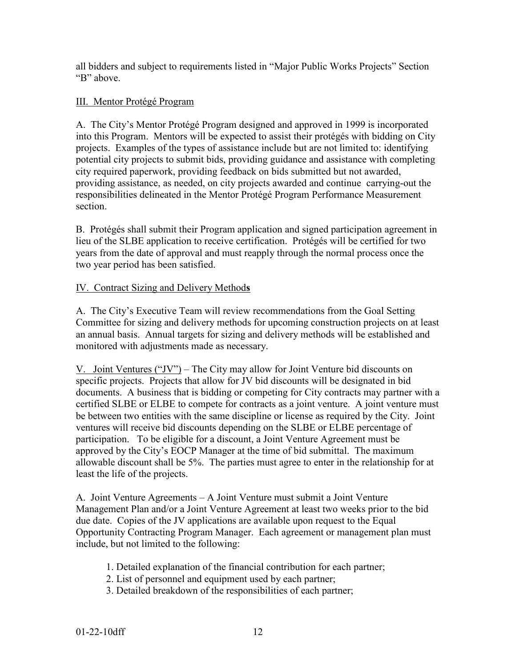all bidders and subject to requirements listed in "Major Public Works Projects" Section "B" above.

## III. Mentor Protégé Program

A. The City's Mentor Protégé Program designed and approved in 1999 is incorporated into this Program. Mentors will be expected to assist their protégés with bidding on City projects. Examples of the types of assistance include but are not limited to: identifying potential city projects to submit bids, providing guidance and assistance with completing city required paperwork, providing feedback on bids submitted but not awarded, providing assistance, as needed, on city projects awarded and continue carrying-out the responsibilities delineated in the Mentor Protégé Program Performance Measurement section.

B. Protégés shall submit their Program application and signed participation agreement in lieu of the SLBE application to receive certification. Protégés will be certified for two years from the date of approval and must reapply through the normal process once the two year period has been satisfied.

## IV. Contract Sizing and Delivery Method**s**

A. The City's Executive Team will review recommendations from the Goal Setting Committee for sizing and delivery methods for upcoming construction projects on at least an annual basis. Annual targets for sizing and delivery methods will be established and monitored with adjustments made as necessary.

V. Joint Ventures ("JV") – The City may allow for Joint Venture bid discounts on specific projects. Projects that allow for JV bid discounts will be designated in bid documents. A business that is bidding or competing for City contracts may partner with a certified SLBE or ELBE to compete for contracts as a joint venture. A joint venture must be between two entities with the same discipline or license as required by the City. Joint ventures will receive bid discounts depending on the SLBE or ELBE percentage of participation. To be eligible for a discount, a Joint Venture Agreement must be approved by the City's EOCP Manager at the time of bid submittal. The maximum allowable discount shall be 5%. The parties must agree to enter in the relationship for at least the life of the projects.

A. Joint Venture Agreements – A Joint Venture must submit a Joint Venture Management Plan and/or a Joint Venture Agreement at least two weeks prior to the bid due date. Copies of the JV applications are available upon request to the Equal Opportunity Contracting Program Manager. Each agreement or management plan must include, but not limited to the following:

- 1. Detailed explanation of the financial contribution for each partner;
- 2. List of personnel and equipment used by each partner;
- 3. Detailed breakdown of the responsibilities of each partner;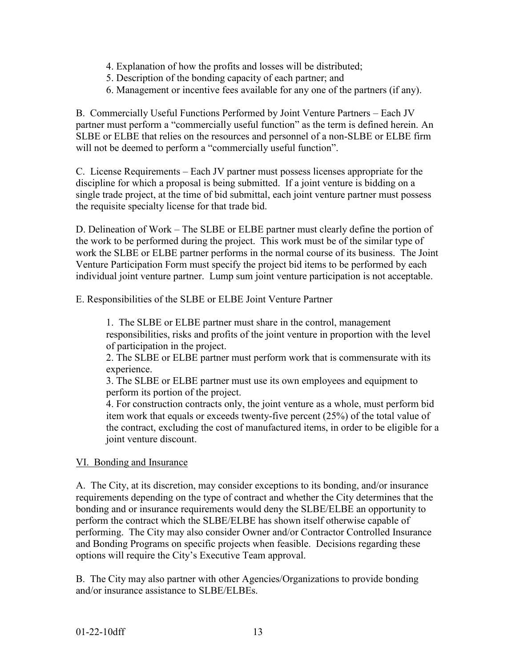- 4. Explanation of how the profits and losses will be distributed;
- 5. Description of the bonding capacity of each partner; and
- 6. Management or incentive fees available for any one of the partners (if any).

B. Commercially Useful Functions Performed by Joint Venture Partners – Each JV partner must perform a "commercially useful function" as the term is defined herein. An SLBE or ELBE that relies on the resources and personnel of a non-SLBE or ELBE firm will not be deemed to perform a "commercially useful function".

C. License Requirements – Each JV partner must possess licenses appropriate for the discipline for which a proposal is being submitted. If a joint venture is bidding on a single trade project, at the time of bid submittal, each joint venture partner must possess the requisite specialty license for that trade bid.

D. Delineation of Work – The SLBE or ELBE partner must clearly define the portion of the work to be performed during the project. This work must be of the similar type of work the SLBE or ELBE partner performs in the normal course of its business. The Joint Venture Participation Form must specify the project bid items to be performed by each individual joint venture partner. Lump sum joint venture participation is not acceptable.

E. Responsibilities of the SLBE or ELBE Joint Venture Partner

1. The SLBE or ELBE partner must share in the control, management responsibilities, risks and profits of the joint venture in proportion with the level of participation in the project.

2. The SLBE or ELBE partner must perform work that is commensurate with its experience.

3. The SLBE or ELBE partner must use its own employees and equipment to perform its portion of the project.

4. For construction contracts only, the joint venture as a whole, must perform bid item work that equals or exceeds twenty-five percent (25%) of the total value of the contract, excluding the cost of manufactured items, in order to be eligible for a joint venture discount.

#### VI. Bonding and Insurance

A. The City, at its discretion, may consider exceptions to its bonding, and/or insurance requirements depending on the type of contract and whether the City determines that the bonding and or insurance requirements would deny the SLBE/ELBE an opportunity to perform the contract which the SLBE/ELBE has shown itself otherwise capable of performing. The City may also consider Owner and/or Contractor Controlled Insurance and Bonding Programs on specific projects when feasible. Decisions regarding these options will require the City's Executive Team approval.

B. The City may also partner with other Agencies/Organizations to provide bonding and/or insurance assistance to SLBE/ELBEs.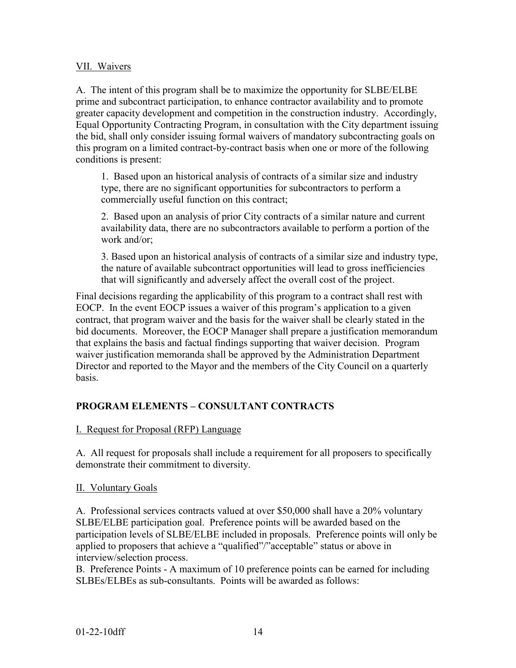#### VII. Waivers

A. The intent of this program shall be to maximize the opportunity for SLBE/ELBE prime and subcontract participation, to enhance contractor availability and to promote greater capacity development and competition in the construction industry. Accordingly, Equal Opportunity Contracting Program, in consultation with the City department issuing the bid, shall only consider issuing formal waivers of mandatory subcontracting goals on this program on a limited contract-by-contract basis when one or more of the following conditions is present:

1. Based upon an historical analysis of contracts of a similar size and industry type, there are no significant opportunities for subcontractors to perform a commercially useful function on this contract;

2. Based upon an analysis of prior City contracts of a similar nature and current availability data, there are no subcontractors available to perform a portion of the work and/or;

3. Based upon an historical analysis of contracts of a similar size and industry type, the nature of available subcontract opportunities will lead to gross inefficiencies that will significantly and adversely affect the overall cost of the project.

Final decisions regarding the applicability of this program to a contract shall rest with EOCP. In the event EOCP issues a waiver of this program's application to a given contract, that program waiver and the basis for the waiver shall be clearly stated in the bid documents. Moreover, the EOCP Manager shall prepare a justification memorandum that explains the basis and factual findings supporting that waiver decision. Program waiver justification memoranda shall be approved by the Administration Department Director and reported to the Mayor and the members of the City Council on a quarterly basis.

## **PROGRAM ELEMENTS – CONSULTANT CONTRACTS**

#### I. Request for Proposal (RFP) Language

A. All request for proposals shall include a requirement for all proposers to specifically demonstrate their commitment to diversity.

#### II. Voluntary Goals

A. Professional services contracts valued at over \$50,000 shall have a 20% voluntary SLBE/ELBE participation goal. Preference points will be awarded based on the participation levels of SLBE/ELBE included in proposals. Preference points will only be applied to proposers that achieve a "qualified"/"acceptable" status or above in interview/selection process.

B. Preference Points - A maximum of 10 preference points can be earned for including SLBEs/ELBEs as sub-consultants. Points will be awarded as follows: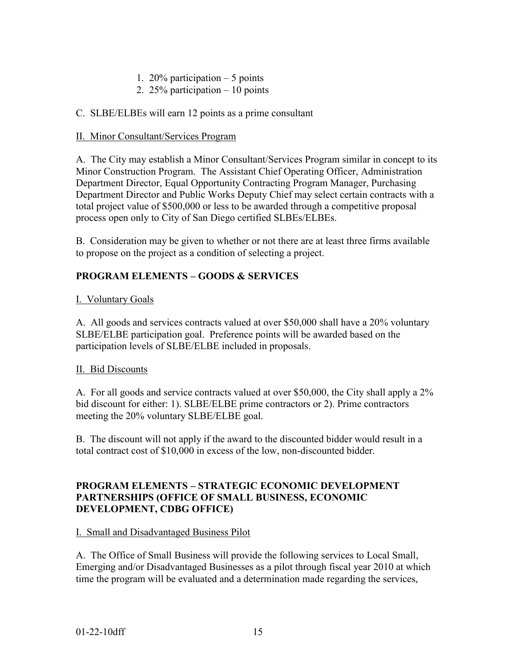- 1. 20% participation 5 points
- 2. 25% participation 10 points

#### C. SLBE/ELBEs will earn 12 points as a prime consultant

#### II. Minor Consultant/Services Program

A. The City may establish a Minor Consultant/Services Program similar in concept to its Minor Construction Program. The Assistant Chief Operating Officer, Administration Department Director, Equal Opportunity Contracting Program Manager, Purchasing Department Director and Public Works Deputy Chief may select certain contracts with a total project value of \$500,000 or less to be awarded through a competitive proposal process open only to City of San Diego certified SLBEs/ELBEs.

B. Consideration may be given to whether or not there are at least three firms available to propose on the project as a condition of selecting a project.

#### **PROGRAM ELEMENTS – GOODS & SERVICES**

#### I. Voluntary Goals

A. All goods and services contracts valued at over \$50,000 shall have a 20% voluntary SLBE/ELBE participation goal. Preference points will be awarded based on the participation levels of SLBE/ELBE included in proposals.

#### II. Bid Discounts

A. For all goods and service contracts valued at over \$50,000, the City shall apply a 2% bid discount for either: 1). SLBE/ELBE prime contractors or 2). Prime contractors meeting the 20% voluntary SLBE/ELBE goal.

B. The discount will not apply if the award to the discounted bidder would result in a total contract cost of \$10,000 in excess of the low, non-discounted bidder.

#### **PROGRAM ELEMENTS – STRATEGIC ECONOMIC DEVELOPMENT PARTNERSHIPS (OFFICE OF SMALL BUSINESS, ECONOMIC DEVELOPMENT, CDBG OFFICE)**

#### I. Small and Disadvantaged Business Pilot

A. The Office of Small Business will provide the following services to Local Small, Emerging and/or Disadvantaged Businesses as a pilot through fiscal year 2010 at which time the program will be evaluated and a determination made regarding the services,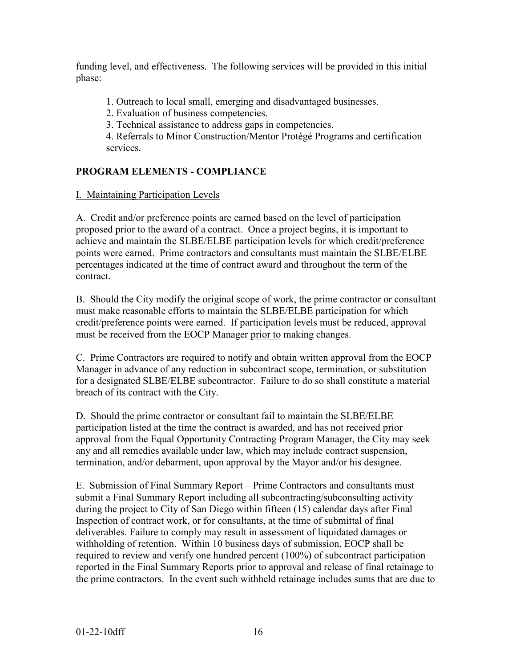funding level, and effectiveness. The following services will be provided in this initial phase:

1. Outreach to local small, emerging and disadvantaged businesses.

2. Evaluation of business competencies.

3. Technical assistance to address gaps in competencies.

4. Referrals to Minor Construction/Mentor Protégé Programs and certification services.

## **PROGRAM ELEMENTS - COMPLIANCE**

## I. Maintaining Participation Levels

A. Credit and/or preference points are earned based on the level of participation proposed prior to the award of a contract. Once a project begins, it is important to achieve and maintain the SLBE/ELBE participation levels for which credit/preference points were earned. Prime contractors and consultants must maintain the SLBE/ELBE percentages indicated at the time of contract award and throughout the term of the contract.

B. Should the City modify the original scope of work, the prime contractor or consultant must make reasonable efforts to maintain the SLBE/ELBE participation for which credit/preference points were earned. If participation levels must be reduced, approval must be received from the EOCP Manager prior to making changes.

C. Prime Contractors are required to notify and obtain written approval from the EOCP Manager in advance of any reduction in subcontract scope, termination, or substitution for a designated SLBE/ELBE subcontractor. Failure to do so shall constitute a material breach of its contract with the City.

D. Should the prime contractor or consultant fail to maintain the SLBE/ELBE participation listed at the time the contract is awarded, and has not received prior approval from the Equal Opportunity Contracting Program Manager, the City may seek any and all remedies available under law, which may include contract suspension, termination, and/or debarment, upon approval by the Mayor and/or his designee.

E. Submission of Final Summary Report – Prime Contractors and consultants must submit a Final Summary Report including all subcontracting/subconsulting activity during the project to City of San Diego within fifteen (15) calendar days after Final Inspection of contract work, or for consultants, at the time of submittal of final deliverables. Failure to comply may result in assessment of liquidated damages or withholding of retention. Within 10 business days of submission, EOCP shall be required to review and verify one hundred percent (100%) of subcontract participation reported in the Final Summary Reports prior to approval and release of final retainage to the prime contractors. In the event such withheld retainage includes sums that are due to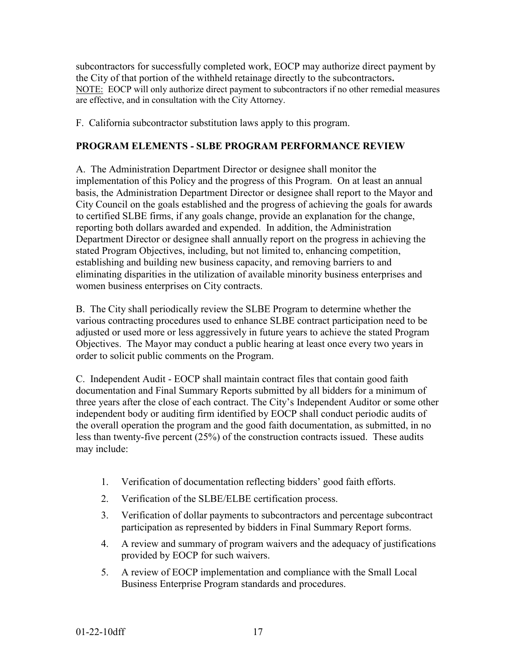subcontractors for successfully completed work, EOCP may authorize direct payment by the City of that portion of the withheld retainage directly to the subcontractors**.**  NOTE: EOCP will only authorize direct payment to subcontractors if no other remedial measures are effective, and in consultation with the City Attorney.

F. California subcontractor substitution laws apply to this program.

## **PROGRAM ELEMENTS - SLBE PROGRAM PERFORMANCE REVIEW**

A. The Administration Department Director or designee shall monitor the implementation of this Policy and the progress of this Program. On at least an annual basis, the Administration Department Director or designee shall report to the Mayor and City Council on the goals established and the progress of achieving the goals for awards to certified SLBE firms, if any goals change, provide an explanation for the change, reporting both dollars awarded and expended. In addition, the Administration Department Director or designee shall annually report on the progress in achieving the stated Program Objectives, including, but not limited to, enhancing competition, establishing and building new business capacity, and removing barriers to and eliminating disparities in the utilization of available minority business enterprises and women business enterprises on City contracts.

B. The City shall periodically review the SLBE Program to determine whether the various contracting procedures used to enhance SLBE contract participation need to be adjusted or used more or less aggressively in future years to achieve the stated Program Objectives. The Mayor may conduct a public hearing at least once every two years in order to solicit public comments on the Program.

C. Independent Audit - EOCP shall maintain contract files that contain good faith documentation and Final Summary Reports submitted by all bidders for a minimum of three years after the close of each contract. The City's Independent Auditor or some other independent body or auditing firm identified by EOCP shall conduct periodic audits of the overall operation the program and the good faith documentation, as submitted, in no less than twenty-five percent (25%) of the construction contracts issued. These audits may include:

- 1. Verification of documentation reflecting bidders' good faith efforts.
- 2. Verification of the SLBE/ELBE certification process.
- 3. Verification of dollar payments to subcontractors and percentage subcontract participation as represented by bidders in Final Summary Report forms.
- 4. A review and summary of program waivers and the adequacy of justifications provided by EOCP for such waivers.
- 5. A review of EOCP implementation and compliance with the Small Local Business Enterprise Program standards and procedures.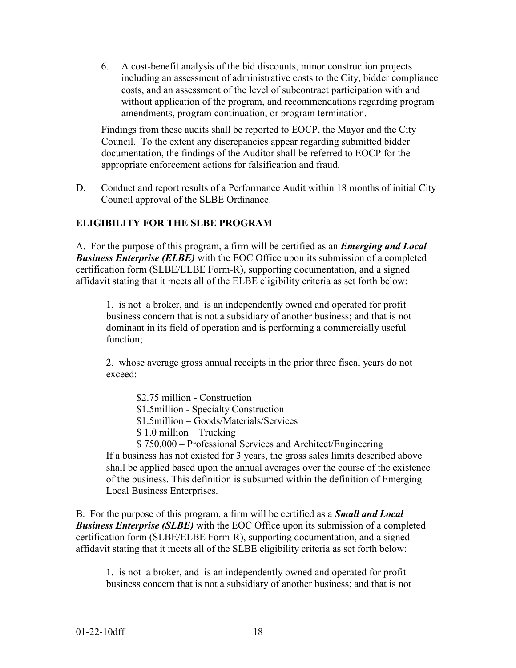6. A cost-benefit analysis of the bid discounts, minor construction projects including an assessment of administrative costs to the City, bidder compliance costs, and an assessment of the level of subcontract participation with and without application of the program, and recommendations regarding program amendments, program continuation, or program termination.

Findings from these audits shall be reported to EOCP, the Mayor and the City Council. To the extent any discrepancies appear regarding submitted bidder documentation, the findings of the Auditor shall be referred to EOCP for the appropriate enforcement actions for falsification and fraud.

D. Conduct and report results of a Performance Audit within 18 months of initial City Council approval of the SLBE Ordinance.

#### **ELIGIBILITY FOR THE SLBE PROGRAM**

A. For the purpose of this program, a firm will be certified as an *Emerging and Local Business Enterprise (ELBE)* with the EOC Office upon its submission of a completed certification form (SLBE/ELBE Form-R), supporting documentation, and a signed affidavit stating that it meets all of the ELBE eligibility criteria as set forth below:

1. is not a broker, and is an independently owned and operated for profit business concern that is not a subsidiary of another business; and that is not dominant in its field of operation and is performing a commercially useful function;

2. whose average gross annual receipts in the prior three fiscal years do not exceed:

\$2.75 million - Construction

\$1.5million - Specialty Construction

\$1.5million – Goods/Materials/Services

\$ 1.0 million – Trucking

\$ 750,000 – Professional Services and Architect/Engineering If a business has not existed for 3 years, the gross sales limits described above shall be applied based upon the annual averages over the course of the existence of the business. This definition is subsumed within the definition of Emerging Local Business Enterprises.

B. For the purpose of this program, a firm will be certified as a *Small and Local Business Enterprise (SLBE)* with the EOC Office upon its submission of a completed certification form (SLBE/ELBE Form-R), supporting documentation, and a signed affidavit stating that it meets all of the SLBE eligibility criteria as set forth below:

1. is not a broker, and is an independently owned and operated for profit business concern that is not a subsidiary of another business; and that is not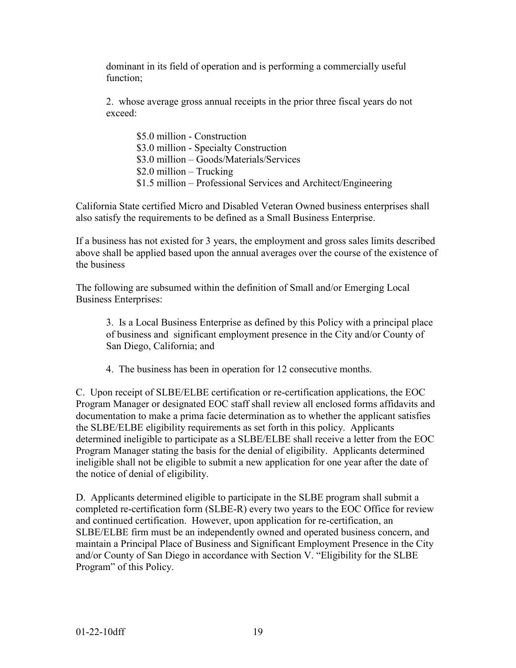dominant in its field of operation and is performing a commercially useful function;

2. whose average gross annual receipts in the prior three fiscal years do not exceed:

\$5.0 million - Construction \$3.0 million - Specialty Construction \$3.0 million – Goods/Materials/Services \$2.0 million – Trucking \$1.5 million – Professional Services and Architect/Engineering

California State certified Micro and Disabled Veteran Owned business enterprises shall also satisfy the requirements to be defined as a Small Business Enterprise.

If a business has not existed for 3 years, the employment and gross sales limits described above shall be applied based upon the annual averages over the course of the existence of the business

The following are subsumed within the definition of Small and/or Emerging Local Business Enterprises:

3. Is a Local Business Enterprise as defined by this Policy with a principal place of business and significant employment presence in the City and/or County of San Diego, California; and

4. The business has been in operation for 12 consecutive months.

C. Upon receipt of SLBE/ELBE certification or re-certification applications, the EOC Program Manager or designated EOC staff shall review all enclosed forms affidavits and documentation to make a prima facie determination as to whether the applicant satisfies the SLBE/ELBE eligibility requirements as set forth in this policy. Applicants determined ineligible to participate as a SLBE/ELBE shall receive a letter from the EOC Program Manager stating the basis for the denial of eligibility. Applicants determined ineligible shall not be eligible to submit a new application for one year after the date of the notice of denial of eligibility.

D. Applicants determined eligible to participate in the SLBE program shall submit a completed re-certification form (SLBE-R) every two years to the EOC Office for review and continued certification. However, upon application for re-certification, an SLBE/ELBE firm must be an independently owned and operated business concern, and maintain a Principal Place of Business and Significant Employment Presence in the City and/or County of San Diego in accordance with Section V. "Eligibility for the SLBE Program" of this Policy.